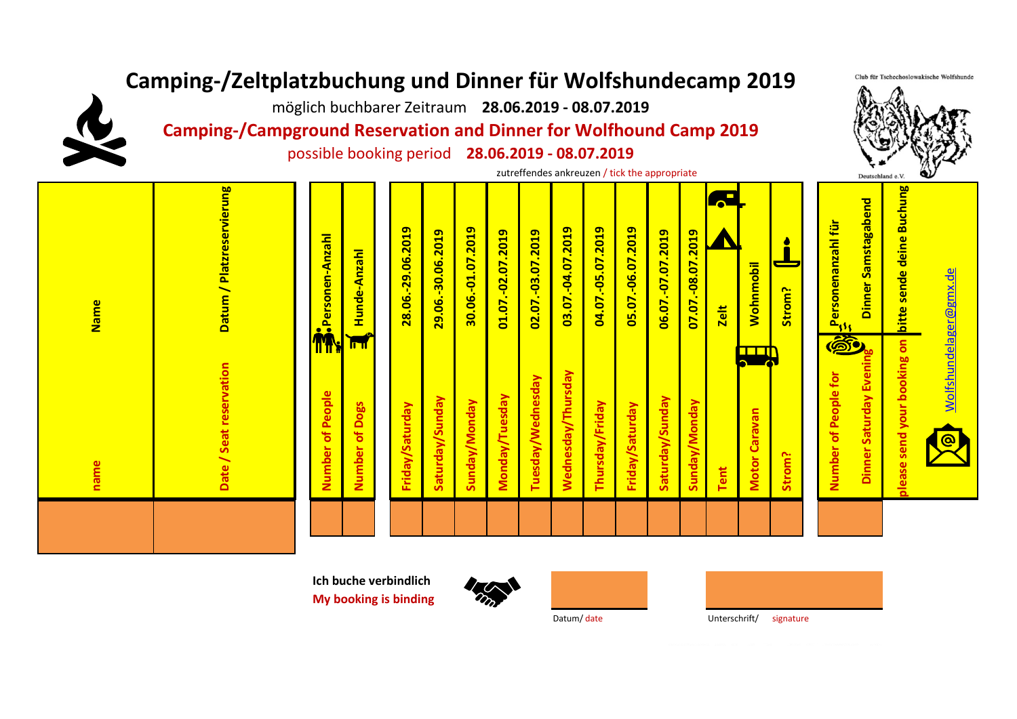## **Camping-/Zeltplatzbuchung und Dinner für Wolfshundecamp 2019**

möglich buchbarer Zeitraum **28.06.2019 - 08.07.2019**

**Camping-/Campground Reservation and Dinner for Wolfhound Camp 2019**

possible booking period **28.06.2019 - 08.07.2019**

zutreffendes ankreuzen / tick the appropriateDeutschland e.V please send your booking on bitte sende deine Buchung Datum / Platzreservierung **Datum / Platzreservierung bitte sende deine Buchung**  $\overline{\mathbf{r}}$ Dinner Samstagabend **Dinner Samstagabend** ersonenanzahl für  **Personenanzahl für** 28.06.-29.06.2019 30.06.-01.07.2019 03.07.-04.07.2019 04.07.-05.07.2019 05.07.-06.07.2019  **28.06.-29.06.2019** 29.06.-30.06.2019  **30.06.-01.07.2019** 01.07.-02.07.2019 02.07.-03.07.2019  **03.07.-04.07.2019 04.07.-05.07.2019 05.07.-06.07.2019** 06.07.-07.07.2019 07.07.-08.07.2019  **29.06.-30.06.2019 01.07.-02.07.2019 02.07.-03.07.2019 06.07.-07.07.2019 07.07.-08.07.2019 B**<br>Personen-Anzahl  **Personen-Anzahl** Hunde-Anzahl  **Hunde-Anzahl Wohnmobil Wohnmobil** <u>Wolfshundelager@gmx.de</u> [Wo](mailto:Wolfshundelager@gmx.de)lfshundelager@gmx.de  **Strom? Name Zelt**  $\mathbb{Z}_{\mathfrak{S}_{3}}$ ௵ **please send your booking on** TTT **Dinner Saturday Evening** Date / Seat reservation  **Date / Seat reservation** Dinner Saturday Eveni Wednesday/Thursday  **Wednesday/Thursday Number of People for** Tuesday/Wednesday **Tuesday/Wednesday Number of People for** of People  **Number of People** Saturday/Sunday Monday/Tuesday  **Monday/Tuesday Saturday/Sunday** Saturday/Sunday  **Saturday/Sunday** Number of Dogs Sunday/Monday  **Sunday/Monday** Thursday/Friday  **Sunday/Monday Thursday/Friday** Friday/Saturday Sunday/Monday  **Number of Dogs Friday/Saturday Friday/Saturday** Friday/Saturday **Motor Caravan Motor Caravan** Number  **Strom?** name  **name Tent**

> **Ich buche verbindlich My booking is binding**





Club für Tschechoslowakische Wolfshunde